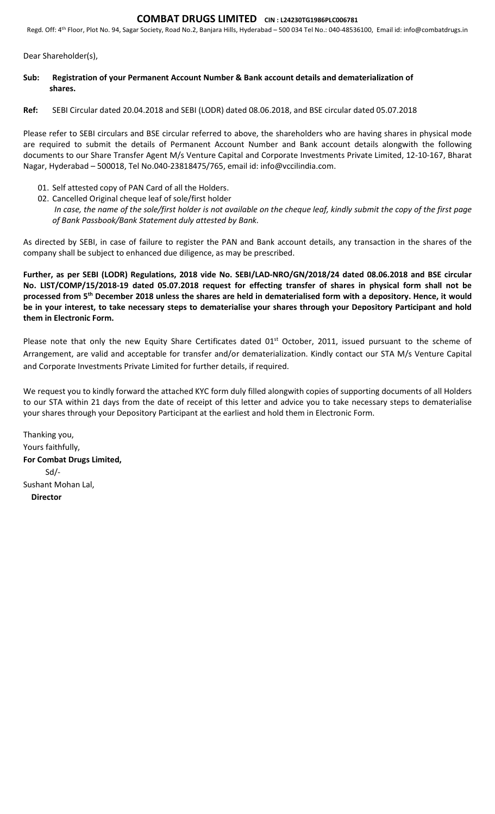## COMBAT DRUGS LIMITED CIN : L24230TG1986PLC006781

Regd. Off: 4th Floor, Plot No. 94, Sagar Society, Road No.2, Banjara Hills, Hyderabad – 500 034 Tel No.: 040-48536100, Email id: info@combatdrugs.in

Dear Shareholder(s),

- Sub: Registration of your Permanent Account Number & Bank account details and dematerialization of shares.
- Ref: SEBI Circular dated 20.04.2018 and SEBI (LODR) dated 08.06.2018, and BSE circular dated 05.07.2018

Please refer to SEBI circulars and BSE circular referred to above, the shareholders who are having shares in physical mode are required to submit the details of Permanent Account Number and Bank account details alongwith the following documents to our Share Transfer Agent M/s Venture Capital and Corporate Investments Private Limited, 12-10-167, Bharat Nagar, Hyderabad – 500018, Tel No.040-23818475/765, email id: info@vccilindia.com.

- 01. Self attested copy of PAN Card of all the Holders.
- 02. Cancelled Original cheque leaf of sole/first holder In case, the name of the sole/first holder is not available on the cheque leaf, kindly submit the copy of the first page of Bank Passbook/Bank Statement duly attested by Bank.

As directed by SEBI, in case of failure to register the PAN and Bank account details, any transaction in the shares of the company shall be subject to enhanced due diligence, as may be prescribed.

Further, as per SEBI (LODR) Regulations, 2018 vide No. SEBI/LAD-NRO/GN/2018/24 dated 08.06.2018 and BSE circular No. LIST/COMP/15/2018-19 dated 05.07.2018 request for effecting transfer of shares in physical form shall not be processed from 5<sup>th</sup> December 2018 unless the shares are held in dematerialised form with a depository. Hence, it would be in your interest, to take necessary steps to dematerialise your shares through your Depository Participant and hold them in Electronic Form.

Please note that only the new Equity Share Certificates dated 01<sup>st</sup> October, 2011, issued pursuant to the scheme of Arrangement, are valid and acceptable for transfer and/or dematerialization. Kindly contact our STA M/s Venture Capital and Corporate Investments Private Limited for further details, if required.

We request you to kindly forward the attached KYC form duly filled alongwith copies of supporting documents of all Holders to our STA within 21 days from the date of receipt of this letter and advice you to take necessary steps to dematerialise your shares through your Depository Participant at the earliest and hold them in Electronic Form.

Thanking you, Yours faithfully, For Combat Drugs Limited, Sd/- Sushant Mohan Lal, Director